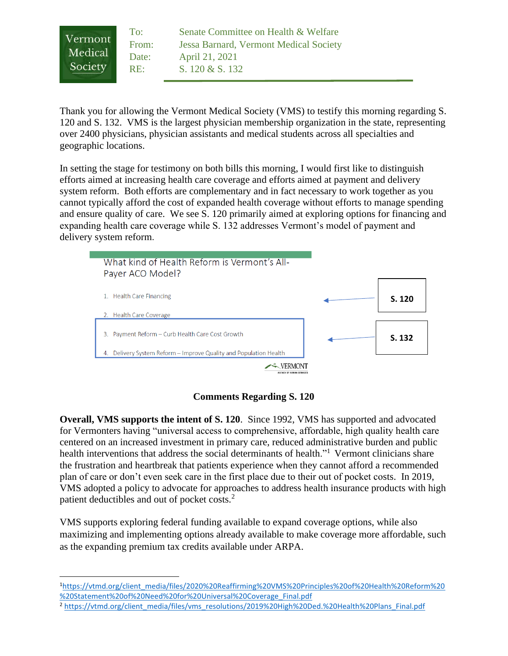To: Senate Committee on Health & Welfare Vermont From: Jessa Barnard, Vermont Medical Society Medical Date: April 21, 2021 Society RE: S. 120 & S. 132

Thank you for allowing the Vermont Medical Society (VMS) to testify this morning regarding S. 120 and S. 132. VMS is the largest physician membership organization in the state, representing over 2400 physicians, physician assistants and medical students across all specialties and geographic locations.

In setting the stage for testimony on both bills this morning, I would first like to distinguish efforts aimed at increasing health care coverage and efforts aimed at payment and delivery system reform. Both efforts are complementary and in fact necessary to work together as you cannot typically afford the cost of expanded health coverage without efforts to manage spending and ensure quality of care. We see S. 120 primarily aimed at exploring options for financing and expanding health care coverage while S. 132 addresses Vermont's model of payment and delivery system reform.



# **Comments Regarding S. 120**

**Overall, VMS supports the intent of S. 120**. Since 1992, VMS has supported and advocated for Vermonters having "universal access to comprehensive, affordable, high quality health care centered on an increased investment in primary care, reduced administrative burden and public health interventions that address the social determinants of health."<sup>1</sup> Vermont clinicians share the frustration and heartbreak that patients experience when they cannot afford a recommended plan of care or don't even seek care in the first place due to their out of pocket costs. In 2019, VMS adopted a policy to advocate for approaches to address health insurance products with high patient deductibles and out of pocket costs.<sup>2</sup>

VMS supports exploring federal funding available to expand coverage options, while also maximizing and implementing options already available to make coverage more affordable, such as the expanding premium tax credits available under ARPA.

<sup>1</sup>[https://vtmd.org/client\\_media/files/2020%20Reaffirming%20VMS%20Principles%20of%20Health%20Reform%20](https://vtmd.org/client_media/files/2020%20Reaffirming%20VMS%20Principles%20of%20Health%20Reform%20%20Statement%20of%20Need%20for%20Universal%20Coverage_Final.pdf) [%20Statement%20of%20Need%20for%20Universal%20Coverage\\_Final.pdf](https://vtmd.org/client_media/files/2020%20Reaffirming%20VMS%20Principles%20of%20Health%20Reform%20%20Statement%20of%20Need%20for%20Universal%20Coverage_Final.pdf)

<sup>&</sup>lt;sup>2</sup> [https://vtmd.org/client\\_media/files/vms\\_resolutions/2019%20High%20Ded.%20Health%20Plans\\_Final.pdf](https://vtmd.org/client_media/files/vms_resolutions/2019%20High%20Ded.%20Health%20Plans_Final.pdf)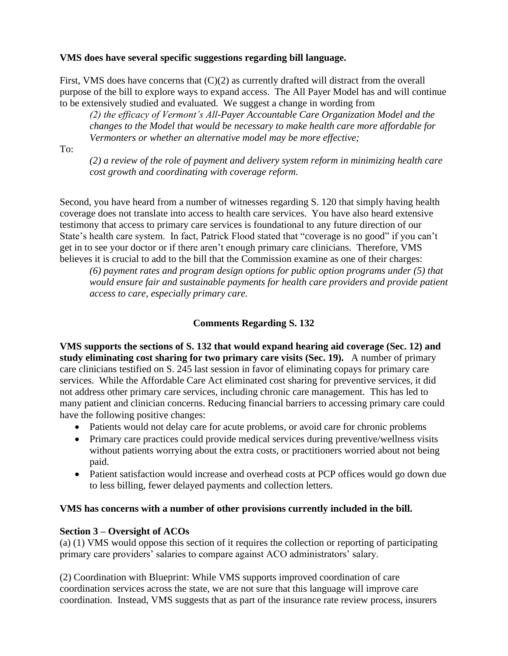#### **VMS does have several specific suggestions regarding bill language.**

First, VMS does have concerns that  $(C)(2)$  as currently drafted will distract from the overall purpose of the bill to explore ways to expand access. The All Payer Model has and will continue to be extensively studied and evaluated. We suggest a change in wording from

*(2) the efficacy of Vermont's All-Payer Accountable Care Organization Model and the changes to the Model that would be necessary to make health care more affordable for Vermonters or whether an alternative model may be more effective;*

#### To:

*(2) a review of the role of payment and delivery system reform in minimizing health care cost growth and coordinating with coverage reform.* 

Second, you have heard from a number of witnesses regarding S. 120 that simply having health coverage does not translate into access to health care services. You have also heard extensive testimony that access to primary care services is foundational to any future direction of our State's health care system. In fact, Patrick Flood stated that "coverage is no good" if you can't get in to see your doctor or if there aren't enough primary care clinicians. Therefore, VMS believes it is crucial to add to the bill that the Commission examine as one of their charges:

*(6) payment rates and program design options for public option programs under (5) that would ensure fair and sustainable payments for health care providers and provide patient access to care, especially primary care.* 

# **Comments Regarding S. 132**

**VMS supports the sections of S. 132 that would expand hearing aid coverage (Sec. 12) and study eliminating cost sharing for two primary care visits (Sec. 19).** A number of primary care clinicians testified on S. 245 last session in favor of eliminating copays for primary care services. While the Affordable Care Act eliminated cost sharing for preventive services, it did not address other primary care services, including chronic care management. This has led to many patient and clinician concerns. Reducing financial barriers to accessing primary care could have the following positive changes:

- Patients would not delay care for acute problems, or avoid care for chronic problems
- Primary care practices could provide medical services during preventive/wellness visits without patients worrying about the extra costs, or practitioners worried about not being paid.
- Patient satisfaction would increase and overhead costs at PCP offices would go down due to less billing, fewer delayed payments and collection letters.

# **VMS has concerns with a number of other provisions currently included in the bill.**

# **Section 3 – Oversight of ACOs**

(a) (1) VMS would oppose this section of it requires the collection or reporting of participating primary care providers' salaries to compare against ACO administrators' salary.

(2) Coordination with Blueprint: While VMS supports improved coordination of care coordination services across the state, we are not sure that this language will improve care coordination. Instead, VMS suggests that as part of the insurance rate review process, insurers